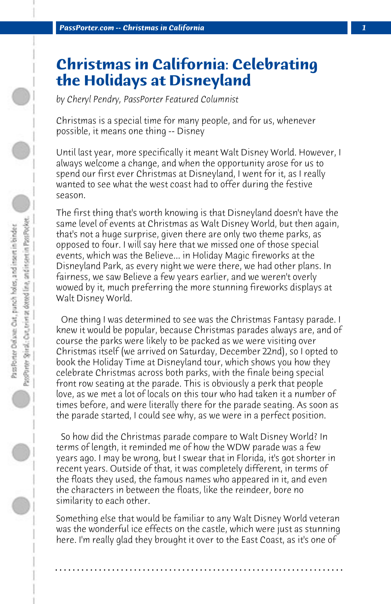## **Christmas in California: Celebrating the Holidays at Disneyland**

*by Cheryl Pendry, PassPorter Featured Columnist*

Christmas is a special time for many people, and for us, whenever possible, it means one thing -- Disney

Until last year, more specifically it meant Walt Disney World. However, I always welcome a change, and when the opportunity arose for us to spend our first ever Christmas at Disneyland, I went for it, as I really wanted to see what the west coast had to offer during the festive season.

The first thing that's worth knowing is that Disneyland doesn't have the same level of events at Christmas as Walt Disney World, but then again, that's not a huge surprise, given there are only two theme parks, as opposed to four. I will say here that we missed one of those special events, which was the Believe... in Holiday Magic fireworks at the Disneyland Park, as every night we were there, we had other plans. In fairness, we saw Believe a few years earlier, and we weren't overly wowed by it, much preferring the more stunning fireworks displays at Walt Disney World.

 One thing I was determined to see was the Christmas Fantasy parade. I knew it would be popular, because Christmas parades always are, and of course the parks were likely to be packed as we were visiting over Christmas itself (we arrived on Saturday, December 22nd), so I opted to book the Holiday Time at Disneyland tour, which shows you how they celebrate Christmas across both parks, with the finale being special front row seating at the parade. This is obviously a perk that people love, as we met a lot of locals on this tour who had taken it a number of times before, and were literally there for the parade seating. As soon as the parade started, I could see why, as we were in a perfect position.

 So how did the Christmas parade compare to Walt Disney World? In terms of length, it reminded me of how the WDW parade was a few years ago. I may be wrong, but I swear that in Florida, it's got shorter in recent years. Outside of that, it was completely different, in terms of the floats they used, the famous names who appeared in it, and even the characters in between the floats, like the reindeer, bore no similarity to each other.

Something else that would be familiar to any Walt Disney World veteran was the wonderful ice effects on the castle, which were just as stunning here. I'm really glad they brought it over to the East Coast, as it's one of

**. . . . . . . . . . . . . . . . . . . . . . . . . . . . . . . . . . . . . . . . . . . . . . . . . . . . . . . . . . . . . . . . . .**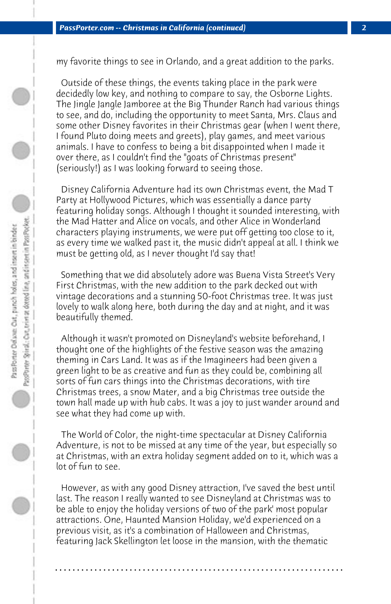my favorite things to see in Orlando, and a great addition to the parks.

 Outside of these things, the events taking place in the park were decidedly low key, and nothing to compare to say, the Osborne Lights. The Jingle Jangle Jamboree at the Big Thunder Ranch had various things to see, and do, including the opportunity to meet Santa, Mrs. Claus and some other Disney favorites in their Christmas gear (when I went there, I found Pluto doing meets and greets), play games, and meet various animals. I have to confess to being a bit disappointed when I made it over there, as I couldn't find the "goats of Christmas present" (seriously!) as I was looking forward to seeing those.

 Disney California Adventure had its own Christmas event, the Mad T Party at Hollywood Pictures, which was essentially a dance party featuring holiday songs. Although I thought it sounded interesting, with the Mad Hatter and Alice on vocals, and other Alice in Wonderland characters playing instruments, we were put off getting too close to it, as every time we walked past it, the music didn't appeal at all. I think we must be getting old, as I never thought I'd say that!

 Something that we did absolutely adore was Buena Vista Street's Very First Christmas, with the new addition to the park decked out with vintage decorations and a stunning 50-foot Christmas tree. It was just lovely to walk along here, both during the day and at night, and it was beautifully themed.

 Although it wasn't promoted on Disneyland's website beforehand, I thought one of the highlights of the festive season was the amazing theming in Cars Land. It was as if the Imagineers had been given a green light to be as creative and fun as they could be, combining all sorts of fun cars things into the Christmas decorations, with tire Christmas trees, a snow Mater, and a big Christmas tree outside the town hall made up with hub cabs. It was a joy to just wander around and see what they had come up with.

 The World of Color, the night-time spectacular at Disney California Adventure, is not to be missed at any time of the year, but especially so at Christmas, with an extra holiday segment added on to it, which was a lot of fun to see.

 However, as with any good Disney attraction, I've saved the best until last. The reason I really wanted to see Disneyland at Christmas was to be able to enjoy the holiday versions of two of the park' most popular attractions. One, Haunted Mansion Holiday, we'd experienced on a previous visit, as it's a combination of Halloween and Christmas, featuring Jack Skellington let loose in the mansion, with the thematic

**. . . . . . . . . . . . . . . . . . . . . . . . . . . . . . . . . . . . . . . . . . . . . . . . . . . . . . . . . . . . . . . . . .**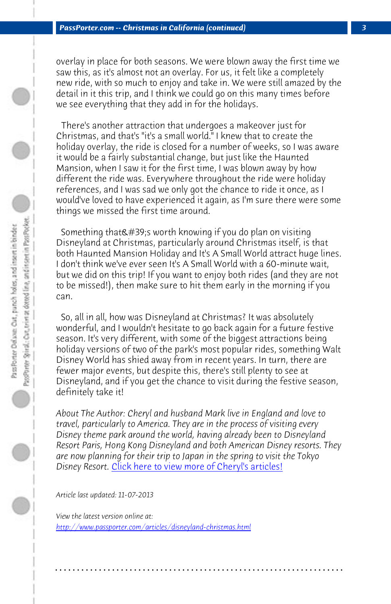*PassPorter.com -- Christmas in California (continued) 3*

overlay in place for both seasons. We were blown away the first time we saw this, as it's almost not an overlay. For us, it felt like a completely new ride, with so much to enjoy and take in. We were still amazed by the detail in it this trip, and I think we could go on this many times before we see everything that they add in for the holidays.

 There's another attraction that undergoes a makeover just for Christmas, and that's "it's a small world." I knew that to create the holiday overlay, the ride is closed for a number of weeks, so I was aware it would be a fairly substantial change, but just like the Haunted Mansion, when I saw it for the first time, I was blown away by how different the ride was. Everywhere throughout the ride were holiday references, and I was sad we only got the chance to ride it once, as I would've loved to have experienced it again, as I'm sure there were some things we missed the first time around.

Something that's worth knowing if you do plan on visiting Disneyland at Christmas, particularly around Christmas itself, is that both Haunted Mansion Holiday and It's A Small World attract huge lines. I don't think we've ever seen It's A Small World with a 60-minute wait, but we did on this trip! If you want to enjoy both rides (and they are not to be missed!)[, then make sure to hit them early in the mo](http://www.passporter.com/articles/cheryl-pendry-featured-columnist.asp)rning if you can.

 So, all in all, how was Disneyland at Christmas? It was absolutely wonderful, and I wouldn't hesitate to go back again for a future festive season. It's very different, with some of the biggest attractions being [holiday versions of two of the park's most popular](http://www.passporter.com/articles/disneyland-christmas.php) rides, something Walt Disney World has shied away from in recent years. In turn, there are fewer major events, but despite this, there's still plenty to see at Disneyland, and if you get the chance to visit during the festive season, definitely take it!

*About The Author: Cheryl and husband Mark live in England and love to travel, particularly to America. They are in the process of visiting every Disney theme park around the world, having already been to Disneyland Resort Paris, Hong Kong Disneyland and both American Disney resorts. They are now planning for their trip to Japan in the spring to visit the Tokyo Disney Resort.* Click here to view more of Cheryl's articles!

**. . . . . . . . . . . . . . . . . . . . . . . . . . . . . . . . . . . . . . . . . . . . . . . . . . . . . . . . . . . . . . . . . .**

*Article last updated: 11-07-2013*

*View the latest version online at: http://www.passporter.com/articles/disneyland-christmas.html*